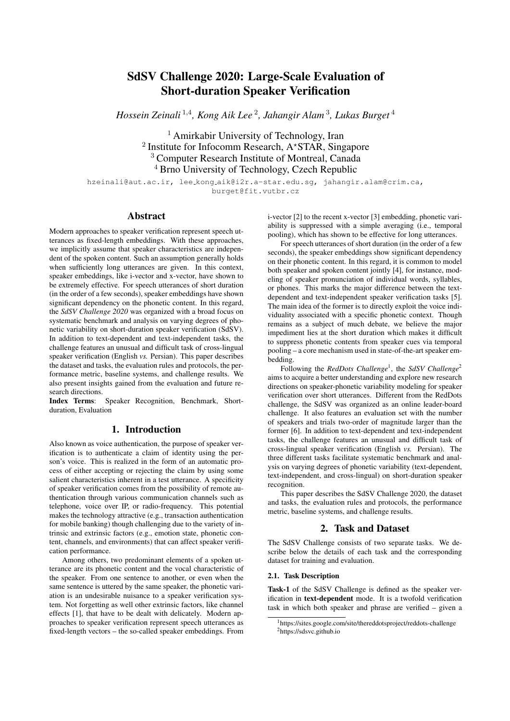# SdSV Challenge 2020: Large-Scale Evaluation of Short-duration Speaker Verification

*Hossein Zeinali* <sup>1</sup>,<sup>4</sup> *, Kong Aik Lee* <sup>2</sup> *, Jahangir Alam* <sup>3</sup> *, Lukas Burget* <sup>4</sup>

<sup>1</sup> Amirkabir University of Technology, Iran  $2$  Institute for Infocomm Research, A\*STAR, Singapore <sup>3</sup> Computer Research Institute of Montreal, Canada <sup>4</sup> Brno University of Technology, Czech Republic

hzeinali@aut.ac.ir, lee kong aik@i2r.a-star.edu.sg, jahangir.alam@crim.ca, burget@fit.vutbr.cz

### Abstract

Modern approaches to speaker verification represent speech utterances as fixed-length embeddings. With these approaches, we implicitly assume that speaker characteristics are independent of the spoken content. Such an assumption generally holds when sufficiently long utterances are given. In this context, speaker embeddings, like i-vector and x-vector, have shown to be extremely effective. For speech utterances of short duration (in the order of a few seconds), speaker embeddings have shown significant dependency on the phonetic content. In this regard, the *SdSV Challenge 2020* was organized with a broad focus on systematic benchmark and analysis on varying degrees of phonetic variability on short-duration speaker verification (SdSV). In addition to text-dependent and text-independent tasks, the challenge features an unusual and difficult task of cross-lingual speaker verification (English *vs.* Persian). This paper describes the dataset and tasks, the evaluation rules and protocols, the performance metric, baseline systems, and challenge results. We also present insights gained from the evaluation and future research directions.

Index Terms: Speaker Recognition, Benchmark, Shortduration, Evaluation

## 1. Introduction

Also known as voice authentication, the purpose of speaker verification is to authenticate a claim of identity using the person's voice. This is realized in the form of an automatic process of either accepting or rejecting the claim by using some salient characteristics inherent in a test utterance. A specificity of speaker verification comes from the possibility of remote authentication through various communication channels such as telephone, voice over IP, or radio-frequency. This potential makes the technology attractive (e.g., transaction authentication for mobile banking) though challenging due to the variety of intrinsic and extrinsic factors (e.g., emotion state, phonetic content, channels, and environments) that can affect speaker verification performance.

Among others, two predominant elements of a spoken utterance are its phonetic content and the vocal characteristic of the speaker. From one sentence to another, or even when the same sentence is uttered by the same speaker, the phonetic variation is an undesirable nuisance to a speaker verification system. Not forgetting as well other extrinsic factors, like channel effects [1], that have to be dealt with delicately. Modern approaches to speaker verification represent speech utterances as fixed-length vectors – the so-called speaker embeddings. From i-vector [2] to the recent x-vector [3] embedding, phonetic variability is suppressed with a simple averaging (i.e., temporal pooling), which has shown to be effective for long utterances.

For speech utterances of short duration (in the order of a few seconds), the speaker embeddings show significant dependency on their phonetic content. In this regard, it is common to model both speaker and spoken content jointly [4], for instance, modeling of speaker pronunciation of individual words, syllables, or phones. This marks the major difference between the textdependent and text-independent speaker verification tasks [5]. The main idea of the former is to directly exploit the voice individuality associated with a specific phonetic context. Though remains as a subject of much debate, we believe the major impediment lies at the short duration which makes it difficult to suppress phonetic contents from speaker cues via temporal pooling – a core mechanism used in state-of-the-art speaker embedding.

Following the *RedDots Challenge*<sup>1</sup>, the SdSV Challenge<sup>2</sup> aims to acquire a better understanding and explore new research directions on speaker-phonetic variability modeling for speaker verification over short utterances. Different from the RedDots challenge, the SdSV was organized as an online leader-board challenge. It also features an evaluation set with the number of speakers and trials two-order of magnitude larger than the former [6]. In addition to text-dependent and text-independent tasks, the challenge features an unusual and difficult task of cross-lingual speaker verification (English *vs.* Persian). The three different tasks facilitate systematic benchmark and analysis on varying degrees of phonetic variability (text-dependent, text-independent, and cross-lingual) on short-duration speaker recognition.

This paper describes the SdSV Challenge 2020, the dataset and tasks, the evaluation rules and protocols, the performance metric, baseline systems, and challenge results.

### 2. Task and Dataset

The SdSV Challenge consists of two separate tasks. We describe below the details of each task and the corresponding dataset for training and evaluation.

#### 2.1. Task Description

Task-1 of the SdSV Challenge is defined as the speaker verification in text-dependent mode. It is a twofold verification task in which both speaker and phrase are verified – given a

<sup>&</sup>lt;sup>1</sup>https://sites.google.com/site/thereddotsproject/reddots-challenge <sup>2</sup>https://sdsvc.github.io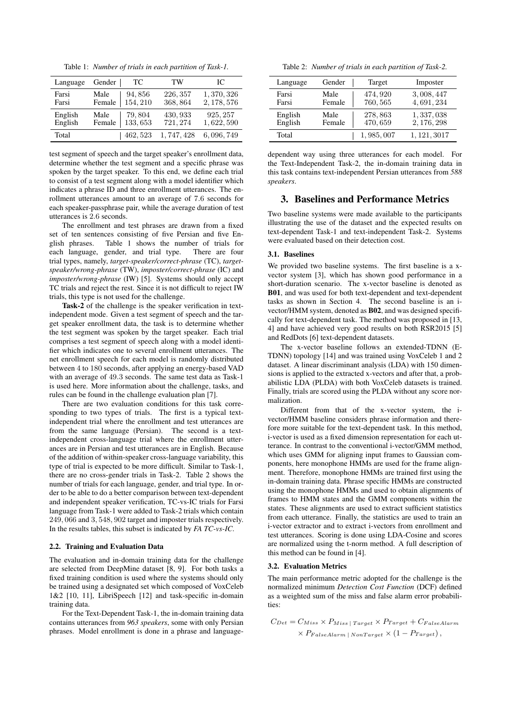Table 1: *Number of trials in each partition of Task-1.*

| Language | Gender | TC       | TW        | IC.         |
|----------|--------|----------|-----------|-------------|
| Farsi    | Male   | 94,856   | 226, 357  | 1, 370, 326 |
| Farsi    | Female | 154, 210 | 368,864   | 2, 178, 576 |
| English  | Male   | 79,804   | 430, 933  | 925, 257    |
| English  | Female | 133,653  | 721, 274  | 1,622,590   |
| Total    |        | 462, 523 | 1,747,428 | 6,096,749   |

test segment of speech and the target speaker's enrollment data, determine whether the test segment and a specific phrase was spoken by the target speaker. To this end, we define each trial to consist of a test segment along with a model identifier which indicates a phrase ID and three enrollment utterances. The enrollment utterances amount to an average of 7.6 seconds for each speaker-passphrase pair, while the average duration of test utterances is 2.6 seconds.

The enrollment and test phrases are drawn from a fixed set of ten sentences consisting of five Persian and five English phrases. Table 1 shows the number of trials for each language, gender, and trial type. There are four trial types, namely, *target-speaker/correct-phrase* (TC), *targetspeaker/wrong-phrase* (TW), *imposter/correct-phrase* (IC) and *imposter/wrong-phrase* (IW) [5]. Systems should only accept TC trials and reject the rest. Since it is not difficult to reject IW trials, this type is not used for the challenge.

Task-2 of the challenge is the speaker verification in textindependent mode. Given a test segment of speech and the target speaker enrollment data, the task is to determine whether the test segment was spoken by the target speaker. Each trial comprises a test segment of speech along with a model identifier which indicates one to several enrollment utterances. The net enrollment speech for each model is randomly distributed between 4 to 180 seconds, after applying an energy-based VAD with an average of 49.3 seconds. The same test data as Task-1 is used here. More information about the challenge, tasks, and rules can be found in the challenge evaluation plan [7].

There are two evaluation conditions for this task corresponding to two types of trials. The first is a typical textindependent trial where the enrollment and test utterances are from the same language (Persian). The second is a textindependent cross-language trial where the enrollment utterances are in Persian and test utterances are in English. Because of the addition of within-speaker cross-language variability, this type of trial is expected to be more difficult. Similar to Task-1, there are no cross-gender trials in Task-2. Table 2 shows the number of trials for each language, gender, and trial type. In order to be able to do a better comparison between text-dependent and independent speaker verification, TC-vs-IC trials for Farsi language from Task-1 were added to Task-2 trials which contain 249, 066 and 3, 548, 902 target and imposter trials respectively. In the results tables, this subset is indicated by *FA TC-vs-IC*.

### 2.2. Training and Evaluation Data

The evaluation and in-domain training data for the challenge are selected from DeepMine dataset [8, 9]. For both tasks a fixed training condition is used where the systems should only be trained using a designated set which composed of VoxCeleb 1&2 [10, 11], LibriSpeech [12] and task-specific in-domain training data.

For the Text-Dependent Task-1, the in-domain training data contains utterances from *963 speakers*, some with only Persian phrases. Model enrollment is done in a phrase and language-

Table 2: *Number of trials in each partition of Task-2.*

| Language | Gender | Target      | Imposter     |
|----------|--------|-------------|--------------|
| Farsi    | Male   | 474, 920    | 3,008,447    |
| Farsi    | Female | 760, 565    | 4,691,234    |
| English  | Male   | 278,863     | 1, 337, 038  |
| English  | Female | 470,659     | 2, 176, 298  |
| Total    |        | 1, 985, 007 | 1, 121, 3017 |

dependent way using three utterances for each model. For the Text-Independent Task-2, the in-domain training data in this task contains text-independent Persian utterances from *588 speakers*.

### 3. Baselines and Performance Metrics

Two baseline systems were made available to the participants illustrating the use of the dataset and the expected results on text-dependent Task-1 and text-independent Task-2. Systems were evaluated based on their detection cost.

### 3.1. Baselines

We provided two baseline systems. The first baseline is a xvector system [3], which has shown good performance in a short-duration scenario. The x-vector baseline is denoted as B01, and was used for both text-dependent and text-dependent tasks as shown in Section 4. The second baseline is an ivector/HMM system, denoted as B02, and was designed specifically for text-dependent task. The method was proposed in [13, 4] and have achieved very good results on both RSR2015 [5] and RedDots [6] text-dependent datasets.

The x-vector baseline follows an extended-TDNN (E-TDNN) topology [14] and was trained using VoxCeleb 1 and 2 dataset. A linear discriminant analysis (LDA) with 150 dimensions is applied to the extracted x-vectors and after that, a probabilistic LDA (PLDA) with both VoxCeleb datasets is trained. Finally, trials are scored using the PLDA without any score normalization.

Different from that of the x-vector system, the ivector/HMM baseline considers phrase information and therefore more suitable for the text-dependent task. In this method, i-vector is used as a fixed dimension representation for each utterance. In contrast to the conventional i-vector/GMM method, which uses GMM for aligning input frames to Gaussian components, here monophone HMMs are used for the frame alignment. Therefore, monophone HMMs are trained first using the in-domain training data. Phrase specific HMMs are constructed using the monophone HMMs and used to obtain alignments of frames to HMM states and the GMM components within the states. These alignments are used to extract sufficient statistics from each utterance. Finally, the statistics are used to train an i-vector extractor and to extract i-vectors from enrollment and test utterances. Scoring is done using LDA-Cosine and scores are normalized using the t-norm method. A full description of this method can be found in [4].

#### 3.2. Evaluation Metrics

The main performance metric adopted for the challenge is the normalized minimum *Detection Cost Function* (DCF) defined as a weighted sum of the miss and false alarm error probabilities:

 $C_{Det} = C_{Miss} \times P_{Miss \mid Target} \times P_{Target} + C_{False \, Alarm}$  $\times P_{False$ Alarm | NonTarget  $\times (1 - P_{Target})$ ,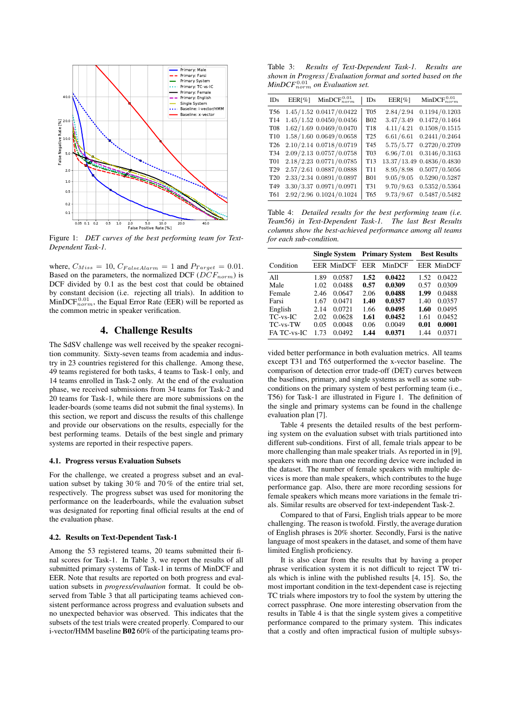

Figure 1: *DET curves of the best performing team for Text-Dependent Task-1.*

where,  $C_{Miss} = 10$ ,  $C_{False}$   $A_{larm} = 1$  and  $P_{Target} = 0.01$ . Based on the parameters, the normalized DCF ( $DCF_{norm}$ ) is DCF divided by 0.1 as the best cost that could be obtained by constant decision (i.e. rejecting all trials). In addition to  $MinDCF_{norm}^{0.01}$ , the Equal Error Rate (EER) will be reported as the common metric in speaker verification.

### 4. Challenge Results

The SdSV challenge was well received by the speaker recognition community. Sixty-seven teams from academia and industry in 23 countries registered for this challenge. Among these, 49 teams registered for both tasks, 4 teams to Task-1 only, and 14 teams enrolled in Task-2 only. At the end of the evaluation phase, we received submissions from 34 teams for Task-2 and 20 teams for Task-1, while there are more submissions on the leader-boards (some teams did not submit the final systems). In this section, we report and discuss the results of this challenge and provide our observations on the results, especially for the best performing teams. Details of the best single and primary systems are reported in their respective papers.

#### 4.1. Progress versus Evaluation Subsets

For the challenge, we created a progress subset and an evaluation subset by taking 30% and 70% of the entire trial set. respectively. The progress subset was used for monitoring the performance on the leaderboards, while the evaluation subset was designated for reporting final official results at the end of the evaluation phase.

#### 4.2. Results on Text-Dependent Task-1

Among the 53 registered teams, 20 teams submitted their final scores for Task-1. In Table 3, we report the results of all submitted primary systems of Task-1 in terms of MinDCF and EER. Note that results are reported on both progress and evaluation subsets in *progress/evaluation* format. It could be observed from Table 3 that all participating teams achieved consistent performance across progress and evaluation subsets and no unexpected behavior was observed. This indicates that the subsets of the test trials were created properly. Compared to our i-vector/HMM baseline B02 60% of the participating teams pro-

Table 3: *Results of Text-Dependent Task-1. Results are shown in Progress*/*Evaluation format and sorted based on the*  $MinDCF_{norm}^{0.01}$  on Evaluation set.

| IDs             | EER[%] | $MinDCF_{norm}^{0.01}$      | IDs              | EER[%]      | MinDCF $_{norm}^{0.01}$ |
|-----------------|--------|-----------------------------|------------------|-------------|-------------------------|
| T <sub>56</sub> |        | $1.45/1.52$ 0.0417/0.0422   | <b>T05</b>       | 2.84/2.94   | 0.1194/0.1203           |
| T <sub>14</sub> |        | $1.45/1.52$ $0.0450/0.0456$ | <b>B02</b>       | 3.47/3.49   | 0.1472/0.1464           |
| <b>T08</b>      |        | $1.62/1.69$ 0.0469/0.0470   | T18              | 4.11/4.21   | 0.1508/0.1515           |
| T <sub>10</sub> |        | 1.58/1.60 0.0649/0.0658     | T <sub>25</sub>  | 6.61/6.61   | 0.2441/0.2464           |
| T <sub>26</sub> |        | 2.10/2.14 0.0718/0.0719     | T <sub>45</sub>  | 5.75/5.77   | 0.2720/0.2709           |
| T34             |        | 2.09/2.13 0.0757/0.0758     | T <sub>0</sub> 3 | 6.96/7.01   | 0.3146/0.3163           |
| T <sub>01</sub> |        | 2.18/2.23 0.0771/0.0785     | T13              | 13.37/13.49 | 0.4836/0.4830           |
| T <sub>29</sub> |        | 2.57/2.61 0.0887/0.0888     | T <sub>11</sub>  | 8.95/8.98   | 0.5077/0.5056           |
| T <sub>20</sub> |        | 2.33/2.34 0.0891/0.0897     | <b>B01</b>       | 9.05 / 9.05 | 0.5290/0.5287           |
| T <sub>49</sub> |        | 3.30/3.37 0.0971/0.0971     | T31              | 9.70 / 9.63 | 0.5352/0.5364           |
| T61             |        | 2.92/2.96 0.1024/0.1024     | T <sub>65</sub>  | 9.73/9.67   | 0.5487/0.5482           |

Table 4: *Detailed results for the best performing team (i.e. Team56) in Text-Dependent Task-1. The last Best Results columns show the best-achieved performance among all teams for each sub-condition.*

|                | <b>Single System</b> |                   | <b>Primary System</b> |        | <b>Best Results</b> |                   |
|----------------|----------------------|-------------------|-----------------------|--------|---------------------|-------------------|
| Condition      |                      | <b>EER MinDCF</b> | EER                   | MinDCF |                     | <b>EER MinDCF</b> |
| All            | 1.89                 | 0.0587            | 1.52                  | 0.0422 | 1.52                | 0.0422            |
| Male           | 1.02                 | 0.0488            | 0.57                  | 0.0309 | 0.57                | 0.0309            |
| Female         | 2.46                 | 0.0647            | 2.06                  | 0.0488 | 1.99                | 0.0488            |
| Farsi          | 1.67                 | 0.0471            | 1.40                  | 0.0357 | 1.40                | 0.0357            |
| English        | 2.14                 | 0.0721            | 1.66                  | 0.0495 | 1.60                | 0.0495            |
| $TC$ -vs- $IC$ | 2.02                 | 0.0628            | 1.61                  | 0.0452 | 1.61                | 0.0452            |
| TC-vs-TW       | 0.05                 | 0.0048            | 0.06                  | 0.0049 | 0.01                | 0.0001            |
| FA TC-vs-IC    | 1.73                 | 0.0492            | 1.44                  | 0.0371 | 1.44                | 0.0371            |

vided better performance in both evaluation metrics. All teams except T31 and T65 outperformed the x-vector baseline. The comparison of detection error trade-off (DET) curves between the baselines, primary, and single systems as well as some subconditions on the primary system of best performing team (i.e., T56) for Task-1 are illustrated in Figure 1. The definition of the single and primary systems can be found in the challenge evaluation plan [7].

Table 4 presents the detailed results of the best performing system on the evaluation subset with trials partitioned into different sub-conditions. First of all, female trials appear to be more challenging than male speaker trials. As reported in in [9], speakers with more than one recording device were included in the dataset. The number of female speakers with multiple devices is more than male speakers, which contributes to the huge performance gap. Also, there are more recording sessions for female speakers which means more variations in the female trials. Similar results are observed for text-independent Task-2.

Compared to that of Farsi, English trials appear to be more challenging. The reason is twofold. Firstly, the average duration of English phrases is 20% shorter. Secondly, Farsi is the native language of most speakers in the dataset, and some of them have limited English proficiency.

It is also clear from the results that by having a proper phrase verification system it is not difficult to reject TW trials which is inline with the published results [4, 15]. So, the most important condition in the text-dependent case is rejecting TC trials where impostors try to fool the system by uttering the correct passphrase. One more interesting observation from the results in Table 4 is that the single system gives a competitive performance compared to the primary system. This indicates that a costly and often impractical fusion of multiple subsys-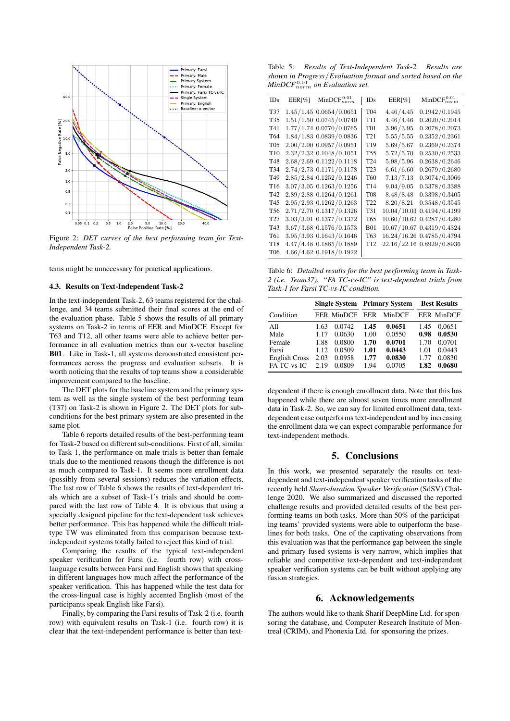

Figure 2: *DET curves of the best performing team for Text-Independent Task-2.*

tems might be unnecessary for practical applications.

#### 4.3. Results on Text-Independent Task-2

In the text-independent Task-2, 63 teams registered for the challenge, and 34 teams submitted their final scores at the end of the evaluation phase. Table 5 shows the results of all primary systems on Task-2 in terms of EER and MinDCF. Except for T63 and T12, all other teams were able to achieve better performance in all evaluation metrics than our x-vector baseline B01. Like in Task-1, all systems demonstrated consistent performances across the progress and evaluation subsets. It is worth noticing that the results of top teams show a considerable improvement compared to the baseline.

The DET plots for the baseline system and the primary system as well as the single system of the best performing team (T37) on Task-2 is shown in Figure 2. The DET plots for subconditions for the best primary system are also presented in the same plot.

Table 6 reports detailed results of the best-performing team for Task-2 based on different sub-conditions. First of all, similar to Task-1, the performance on male trials is better than female trials due to the mentioned reasons though the difference is not as much compared to Task-1. It seems more enrollment data (possibly from several sessions) reduces the variation effects. The last row of Table 6 shows the results of text-dependent trials which are a subset of Task-1's trials and should be compared with the last row of Table 4. It is obvious that using a specially designed pipeline for the text-dependent task achieves better performance. This has happened while the difficult trialtype TW was eliminated from this comparison because textindependent systems totally failed to reject this kind of trial.

Comparing the results of the typical text-independent speaker verification for Farsi (i.e. fourth row) with crosslanguage results between Farsi and English shows that speaking in different languages how much affect the performance of the speaker verification. This has happened while the test data for the cross-lingual case is highly accented English (most of the participants speak English like Farsi).

Finally, by comparing the Farsi results of Task-2 (i.e. fourth row) with equivalent results on Task-1 (i.e. fourth row) it is clear that the text-independent performance is better than text-

Table 5: *Results of Text-Independent Task-2. Results are shown in Progress*/*Evaluation format and sorted based on the*  $MinDCF_{norm}^{0.01}$  on Evaluation set.

| IDs             | $EER[\%]$ | $MinDCF_{norm}^{0.01}$    | IDs             | $EER[\%]$   | $MinDCF_{norm}^{0.01}$    |
|-----------------|-----------|---------------------------|-----------------|-------------|---------------------------|
| T37             |           | 1.45/1.45 0.0654/0.0651   | T04             | 4.46/4.45   | 0.1942/0.1945             |
| T35             |           | 1.51/1.50 0.0745/0.0740   | T11             | 4.46/4.46   | 0.2020/0.2014             |
| T41             |           | 1.77/1.74 0.0770/0.0765   | T <sub>01</sub> | 3.96/3.95   | 0.2078/0.2073             |
| T64             |           | 1.84/1.83 0.0839/0.0836   | T21             | 5.55 / 5.55 | 0.2352/0.2361             |
| <b>T05</b>      |           | 2.00/2.00 0.0957/0.0951   | T19             | 5.69/5.67   | 0.2369/0.2374             |
| T10             |           | 2.32/2.32 0.1048/0.1051   | T55             | 5.72/5.70   | 0.2530/0.2533             |
| T48             |           | 2.68/2.69 0.1122/0.1118   | T <sub>24</sub> | 5.98/5.96   | 0.2638/0.2646             |
| T34             |           | 2.74/2.73 0.1171/0.1178   | T <sub>23</sub> | 6.61/6.60   | 0.2679/0.2680             |
| T49             |           | 2.85/2.84 0.1252/0.1246   | T60             | 7.13/7.13   | 0.3074/0.3066             |
| T16             |           | 3.07/3.05 0.1263/0.1256   | T <sub>14</sub> | 9.04/9.05   | 0.3378/0.3388             |
| T42             |           | 2.89/2.88 0.1264/0.1261   | <b>T08</b>      | 8.48/8.48   | 0.3398/0.3405             |
| T45             |           | 2.95/2.93 0.1262/0.1263   | T <sub>22</sub> | 8.20/8.21   | 0.3548/0.3545             |
| <b>T56</b>      |           | 2.71/2.70 0.1317/0.1326   | T31             | 10.04/10.03 | 0.4194/0.4199             |
| T <sub>27</sub> |           | 3.03/3.01 0.1377/0.1372   | T65             |             | 10.60/10.62 0.4287/0.4280 |
| T43             |           | 3.67/3.68 0.1576/0.1573   | <b>B01</b>      |             | 10.67/10.67 0.4319/0.4324 |
| T61             |           | 3.95/3.93 0.1643/0.1646   | T63             |             | 16.24/16.26 0.4785/0.4794 |
| T18             |           | 4.47/4.48 0.1885/0.1889   | T <sub>12</sub> |             | 22.16/22.16 0.8929/0.8936 |
| <b>T06</b>      |           | $4.66/4.62$ 0.1918/0.1922 |                 |             |                           |

Table 6: *Detailed results for the best performing team in Task-2 (i.e. Team37). "FA TC-vs-IC" is text-dependent trials from Task-1 for Farsi TC-vs-IC condition.*

|                                                                       |                                              |                                                          | <b>Single System Primary System</b>          |                                                          | <b>Best Results</b>                          |                                                          |
|-----------------------------------------------------------------------|----------------------------------------------|----------------------------------------------------------|----------------------------------------------|----------------------------------------------------------|----------------------------------------------|----------------------------------------------------------|
| Condition                                                             |                                              | <b>EER MinDCF</b>                                        | EER                                          | MinDCF                                                   |                                              | <b>EER MinDCF</b>                                        |
| All<br>Male<br>Female<br>Farsi<br><b>English Cross</b><br>FA TC-vs-IC | 1.63<br>1.17<br>1.88<br>1.12<br>2.03<br>2.19 | 0.0742<br>0.0630<br>0.0800<br>0.0509<br>0.0958<br>0.0809 | 1.45<br>1.00<br>1.70<br>1.01<br>1.77<br>1.94 | 0.0651<br>0.0550<br>0.0701<br>0.0443<br>0.0830<br>0.0705 | 1.45<br>0.98<br>1.70<br>1.01<br>1.77<br>1.82 | 0.0651<br>0.0530<br>0.0701<br>0.0443<br>0.0830<br>0.0680 |

dependent if there is enough enrollment data. Note that this has happened while there are almost seven times more enrollment data in Task-2. So, we can say for limited enrollment data, textdependent case outperforms text-independent and by increasing the enrollment data we can expect comparable performance for text-independent methods.

### 5. Conclusions

In this work, we presented separately the results on textdependent and text-independent speaker verification tasks of the recently held *Short-duration Speaker Verification* (SdSV) Challenge 2020. We also summarized and discussed the reported challenge results and provided detailed results of the best performing teams on both tasks. More than 50% of the participating teams' provided systems were able to outperform the baselines for both tasks. One of the captivating observations from this evaluation was that the performance gap between the single and primary fused systems is very narrow, which implies that reliable and competitive text-dependent and text-independent speaker verification systems can be built without applying any fusion strategies.

### 6. Acknowledgements

The authors would like to thank Sharif DeepMine Ltd. for sponsoring the database, and Computer Research Institute of Montreal (CRIM), and Phonexia Ltd. for sponsoring the prizes.